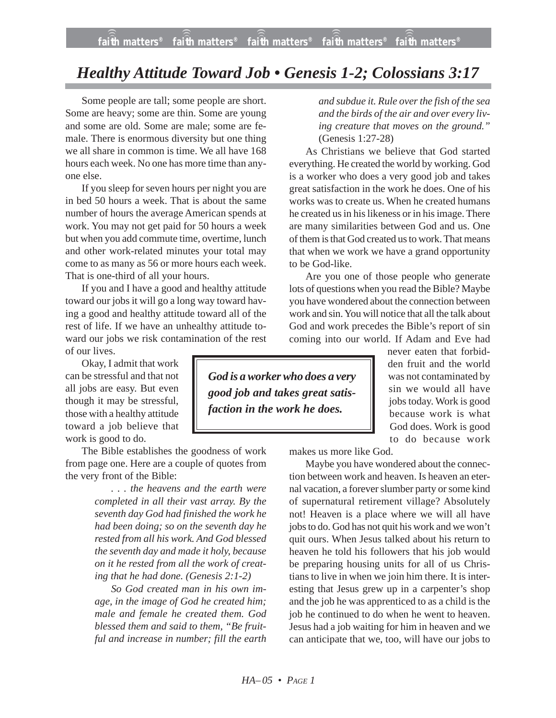## *Healthy Attitude Toward Job • Genesis 1-2; Colossians 3:17*

Some people are tall; some people are short. Some are heavy; some are thin. Some are young and some are old. Some are male; some are female. There is enormous diversity but one thing we all share in common is time. We all have 168 hours each week. No one has more time than anyone else.

If you sleep for seven hours per night you are in bed 50 hours a week. That is about the same number of hours the average American spends at work. You may not get paid for 50 hours a week but when you add commute time, overtime, lunch and other work-related minutes your total may come to as many as 56 or more hours each week. That is one-third of all your hours.

If you and I have a good and healthy attitude toward our jobs it will go a long way toward having a good and healthy attitude toward all of the rest of life. If we have an unhealthy attitude toward our jobs we risk contamination of the rest of our lives.

Okay, I admit that work can be stressful and that not all jobs are easy. But even though it may be stressful, those with a healthy attitude toward a job believe that work is good to do.

The Bible establishes the goodness of work from page one. Here are a couple of quotes from the very front of the Bible:

> *. . . the heavens and the earth were completed in all their vast array. By the seventh day God had finished the work he had been doing; so on the seventh day he rested from all his work. And God blessed the seventh day and made it holy, because on it he rested from all the work of creating that he had done. (Genesis 2:1-2)*

> *So God created man in his own image, in the image of God he created him; male and female he created them. God blessed them and said to them, "Be fruitful and increase in number; fill the earth*

*and subdue it. Rule over the fish of the sea and the birds of the air and over every living creature that moves on the ground."* (Genesis 1:27-28)

As Christians we believe that God started everything. He created the world by working. God is a worker who does a very good job and takes great satisfaction in the work he does. One of his works was to create us. When he created humans he created us in his likeness or in his image. There are many similarities between God and us. One of them is that God created us to work. That means that when we work we have a grand opportunity to be God-like.

Are you one of those people who generate lots of questions when you read the Bible? Maybe you have wondered about the connection between work and sin. You will notice that all the talk about God and work precedes the Bible's report of sin coming into our world. If Adam and Eve had

*God is a worker who does a very good job and takes great satisfaction in the work he does.*

never eaten that forbidden fruit and the world was not contaminated by sin we would all have jobs today. Work is good because work is what God does. Work is good to do because work

makes us more like God.

Maybe you have wondered about the connection between work and heaven. Is heaven an eternal vacation, a forever slumber party or some kind of supernatural retirement village? Absolutely not! Heaven is a place where we will all have jobs to do. God has not quit his work and we won't quit ours. When Jesus talked about his return to heaven he told his followers that his job would be preparing housing units for all of us Christians to live in when we join him there. It is interesting that Jesus grew up in a carpenter's shop and the job he was apprenticed to as a child is the job he continued to do when he went to heaven. Jesus had a job waiting for him in heaven and we can anticipate that we, too, will have our jobs to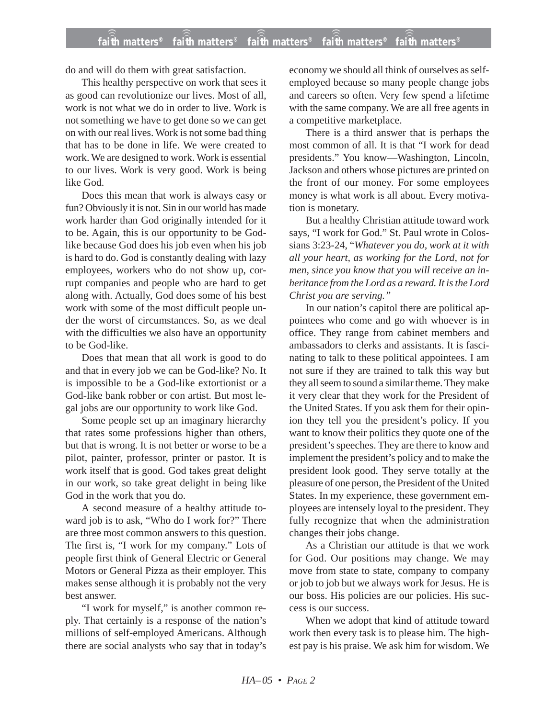## **faith matters® faith matters® faith matters® faith matters® faith matters®** ))) ))) ))) ))) )))

do and will do them with great satisfaction.

This healthy perspective on work that sees it as good can revolutionize our lives. Most of all, work is not what we do in order to live. Work is not something we have to get done so we can get on with our real lives. Work is not some bad thing that has to be done in life. We were created to work. We are designed to work. Work is essential to our lives. Work is very good. Work is being like God.

Does this mean that work is always easy or fun? Obviously it is not. Sin in our world has made work harder than God originally intended for it to be. Again, this is our opportunity to be Godlike because God does his job even when his job is hard to do. God is constantly dealing with lazy employees, workers who do not show up, corrupt companies and people who are hard to get along with. Actually, God does some of his best work with some of the most difficult people under the worst of circumstances. So, as we deal with the difficulties we also have an opportunity to be God-like.

Does that mean that all work is good to do and that in every job we can be God-like? No. It is impossible to be a God-like extortionist or a God-like bank robber or con artist. But most legal jobs are our opportunity to work like God.

Some people set up an imaginary hierarchy that rates some professions higher than others, but that is wrong. It is not better or worse to be a pilot, painter, professor, printer or pastor. It is work itself that is good. God takes great delight in our work, so take great delight in being like God in the work that you do.

A second measure of a healthy attitude toward job is to ask, "Who do I work for?" There are three most common answers to this question. The first is, "I work for my company." Lots of people first think of General Electric or General Motors or General Pizza as their employer. This makes sense although it is probably not the very best answer.

"I work for myself," is another common reply. That certainly is a response of the nation's millions of self-employed Americans. Although there are social analysts who say that in today's

economy we should all think of ourselves as selfemployed because so many people change jobs and careers so often. Very few spend a lifetime with the same company. We are all free agents in a competitive marketplace.

There is a third answer that is perhaps the most common of all. It is that "I work for dead presidents." You know—Washington, Lincoln, Jackson and others whose pictures are printed on the front of our money. For some employees money is what work is all about. Every motivation is monetary.

But a healthy Christian attitude toward work says, "I work for God." St. Paul wrote in Colossians 3:23-24, "*Whatever you do, work at it with all your heart, as working for the Lord, not for men, since you know that you will receive an inheritance from the Lord as a reward. It is the Lord Christ you are serving."*

In our nation's capitol there are political appointees who come and go with whoever is in office. They range from cabinet members and ambassadors to clerks and assistants. It is fascinating to talk to these political appointees. I am not sure if they are trained to talk this way but they all seem to sound a similar theme. They make it very clear that they work for the President of the United States. If you ask them for their opinion they tell you the president's policy. If you want to know their politics they quote one of the president's speeches. They are there to know and implement the president's policy and to make the president look good. They serve totally at the pleasure of one person, the President of the United States. In my experience, these government employees are intensely loyal to the president. They fully recognize that when the administration changes their jobs change.

As a Christian our attitude is that we work for God. Our positions may change. We may move from state to state, company to company or job to job but we always work for Jesus. He is our boss. His policies are our policies. His success is our success.

When we adopt that kind of attitude toward work then every task is to please him. The highest pay is his praise. We ask him for wisdom. We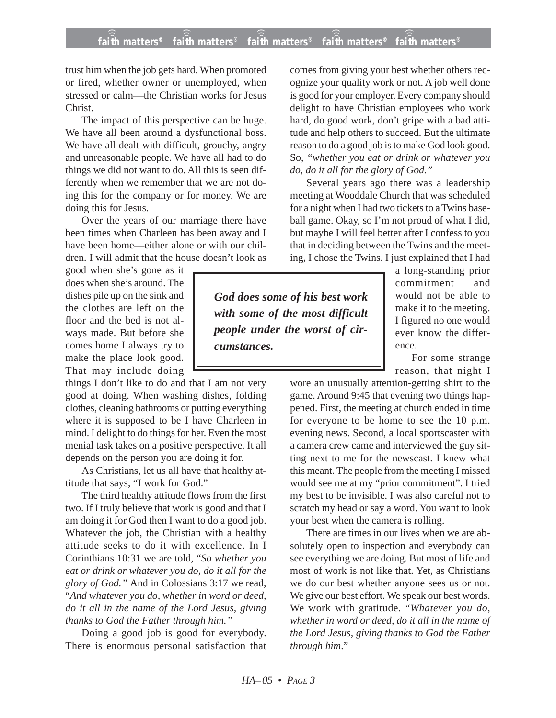## **faith matters® faith matters® faith matters® faith matters® faith matters®** ))) ))) ))) ))) )))

trust him when the job gets hard. When promoted or fired, whether owner or unemployed, when stressed or calm—the Christian works for Jesus Christ.

The impact of this perspective can be huge. We have all been around a dysfunctional boss. We have all dealt with difficult, grouchy, angry and unreasonable people. We have all had to do things we did not want to do. All this is seen differently when we remember that we are not doing this for the company or for money. We are doing this for Jesus.

Over the years of our marriage there have been times when Charleen has been away and I have been home—either alone or with our children. I will admit that the house doesn't look as

good when she's gone as it does when she's around. The dishes pile up on the sink and the clothes are left on the floor and the bed is not always made. But before she comes home I always try to make the place look good. That may include doing

things I don't like to do and that I am not very good at doing. When washing dishes, folding clothes, cleaning bathrooms or putting everything where it is supposed to be I have Charleen in mind. I delight to do things for her. Even the most menial task takes on a positive perspective. It all depends on the person you are doing it for.

As Christians, let us all have that healthy attitude that says, "I work for God."

The third healthy attitude flows from the first two. If I truly believe that work is good and that I am doing it for God then I want to do a good job. Whatever the job, the Christian with a healthy attitude seeks to do it with excellence. In I Corinthians 10:31 we are told, "*So whether you eat or drink or whatever you do, do it all for the glory of God."* And in Colossians 3:17 we read, "*And whatever you do, whether in word or deed, do it all in the name of the Lord Jesus, giving thanks to God the Father through him."*

Doing a good job is good for everybody. There is enormous personal satisfaction that comes from giving your best whether others recognize your quality work or not. A job well done is good for your employer. Every company should delight to have Christian employees who work hard, do good work, don't gripe with a bad attitude and help others to succeed. But the ultimate reason to do a good job is to make God look good. So, *"whether you eat or drink or whatever you do, do it all for the glory of God."*

Several years ago there was a leadership meeting at Wooddale Church that was scheduled for a night when I had two tickets to a Twins baseball game. Okay, so I'm not proud of what I did, but maybe I will feel better after I confess to you that in deciding between the Twins and the meeting, I chose the Twins. I just explained that I had

*God does some of his best work with some of the most difficult people under the worst of circumstances.*

a long-standing prior commitment and would not be able to make it to the meeting. I figured no one would ever know the difference.

For some strange reason, that night I

wore an unusually attention-getting shirt to the game. Around 9:45 that evening two things happened. First, the meeting at church ended in time for everyone to be home to see the 10 p.m. evening news. Second, a local sportscaster with a camera crew came and interviewed the guy sitting next to me for the newscast. I knew what this meant. The people from the meeting I missed would see me at my "prior commitment". I tried my best to be invisible. I was also careful not to scratch my head or say a word. You want to look your best when the camera is rolling.

There are times in our lives when we are absolutely open to inspection and everybody can see everything we are doing. But most of life and most of work is not like that. Yet, as Christians we do our best whether anyone sees us or not. We give our best effort. We speak our best words. We work with gratitude. "*Whatever you do, whether in word or deed, do it all in the name of the Lord Jesus, giving thanks to God the Father through him*."